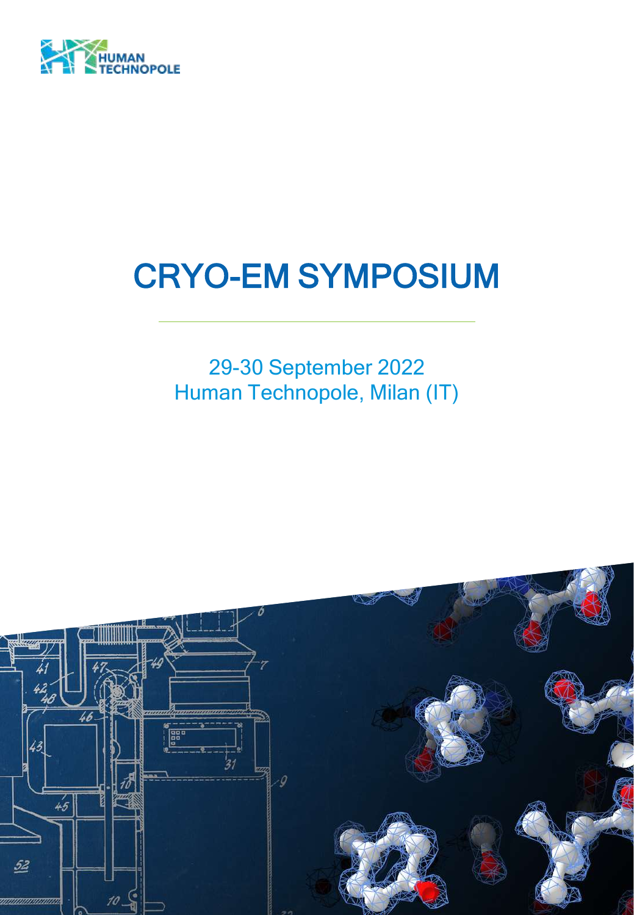

# CRYO-EM SYMPOSIUM

29-30 September 2022 Human Technopole, Milan (IT)

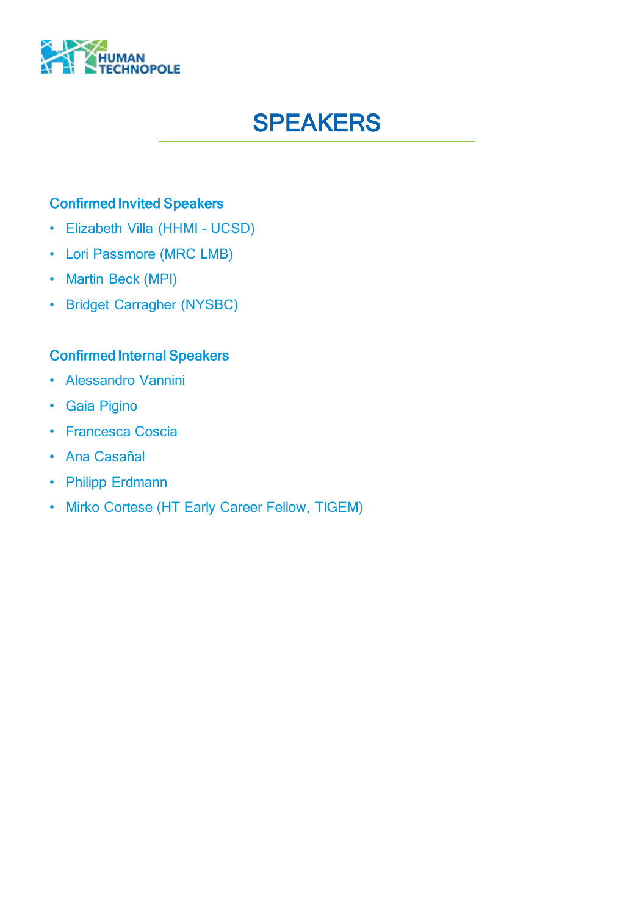

# **SPEAKERS**

#### Confirmed Invited Speakers

- Elizabeth Villa (HHMI UCSD)
- Lori Passmore (MRC LMB)
- Martin Beck (MPI)
- Bridget Carragher (NYSBC)

#### Confirmed Internal Speakers

- Alessandro Vannini
- Gaia Pigino
- Francesca Coscia
- Ana Casañal
- Philipp Erdmann
- Mirko Cortese (HT Early Career Fellow, TIGEM)